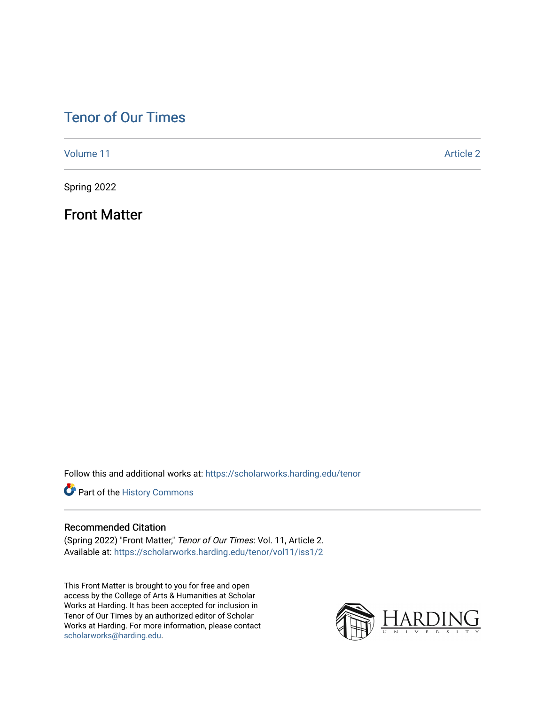## [Tenor of Our Times](https://scholarworks.harding.edu/tenor)

[Volume 11](https://scholarworks.harding.edu/tenor/vol11) Article 2

Spring 2022

Front Matter

Follow this and additional works at: [https://scholarworks.harding.edu/tenor](https://scholarworks.harding.edu/tenor?utm_source=scholarworks.harding.edu%2Ftenor%2Fvol11%2Fiss1%2F2&utm_medium=PDF&utm_campaign=PDFCoverPages)

Part of the [History Commons](http://network.bepress.com/hgg/discipline/489?utm_source=scholarworks.harding.edu%2Ftenor%2Fvol11%2Fiss1%2F2&utm_medium=PDF&utm_campaign=PDFCoverPages) 

### Recommended Citation

(Spring 2022) "Front Matter," Tenor of Our Times: Vol. 11, Article 2. Available at: [https://scholarworks.harding.edu/tenor/vol11/iss1/2](https://scholarworks.harding.edu/tenor/vol11/iss1/2?utm_source=scholarworks.harding.edu%2Ftenor%2Fvol11%2Fiss1%2F2&utm_medium=PDF&utm_campaign=PDFCoverPages)

This Front Matter is brought to you for free and open access by the College of Arts & Humanities at Scholar Works at Harding. It has been accepted for inclusion in Tenor of Our Times by an authorized editor of Scholar Works at Harding. For more information, please contact [scholarworks@harding.edu](mailto:scholarworks@harding.edu).

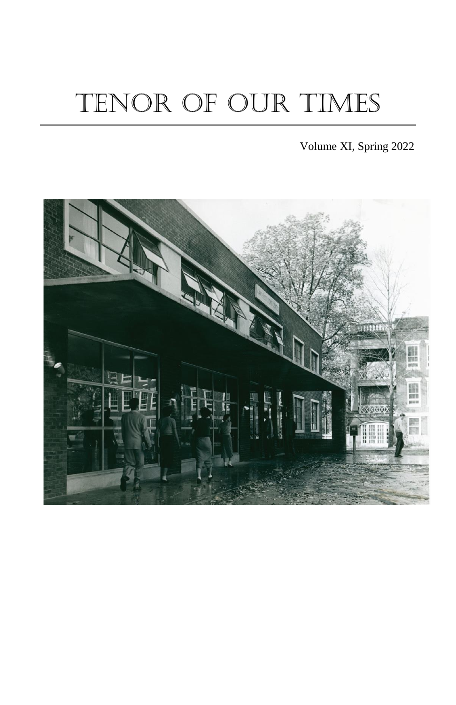# TENOR OF OUR TIMES

Volume XI, Spring 2022

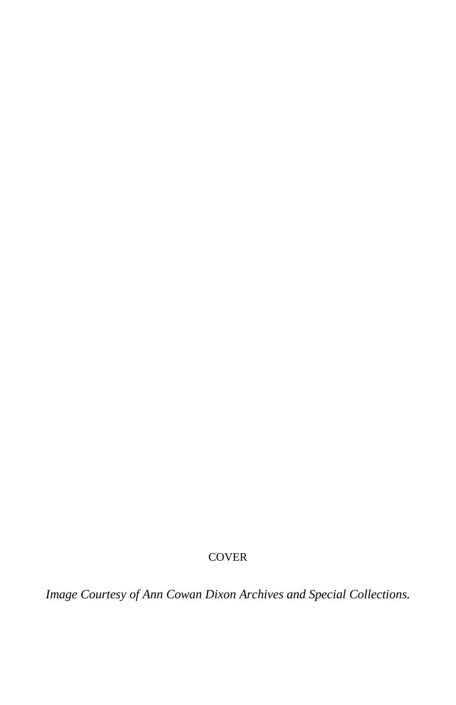### **COVER**

*Image Courtesy of Ann Cowan Dixon Archives and Special Collections.*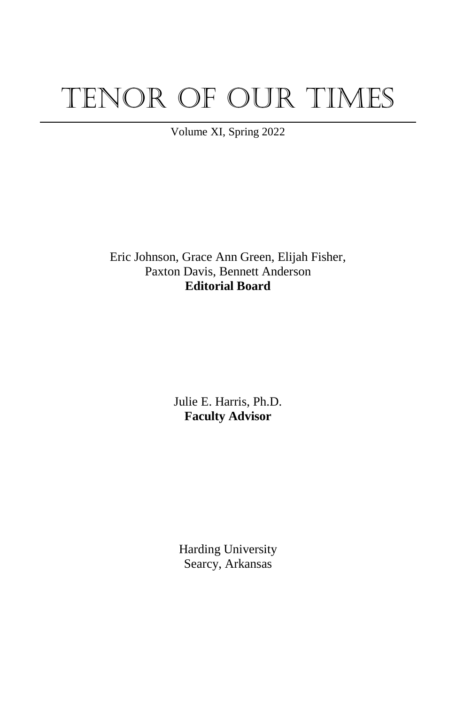# Tenor of Our Times

Volume XI, Spring 2022

Eric Johnson, Grace Ann Green, Elijah Fisher, Paxton Davis, Bennett Anderson **Editorial Board**

> Julie E. Harris, Ph.D. **Faculty Advisor**

Harding University Searcy, Arkansas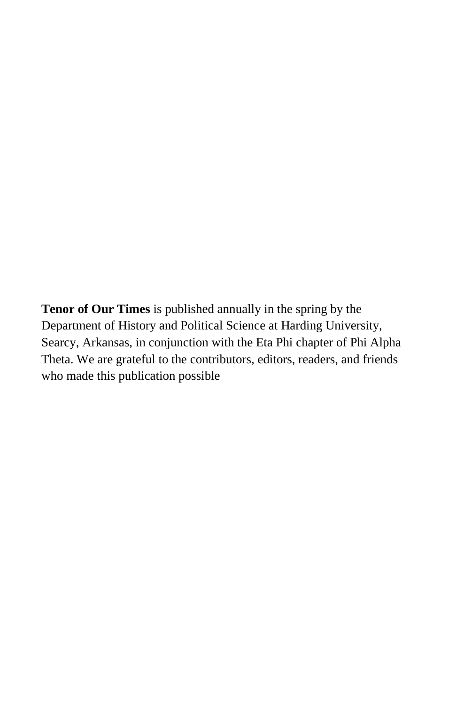**Tenor of Our Times** is published annually in the spring by the Department of History and Political Science at Harding University, Searcy, Arkansas, in conjunction with the Eta Phi chapter of Phi Alpha Theta. We are grateful to the contributors, editors, readers, and friends who made this publication possible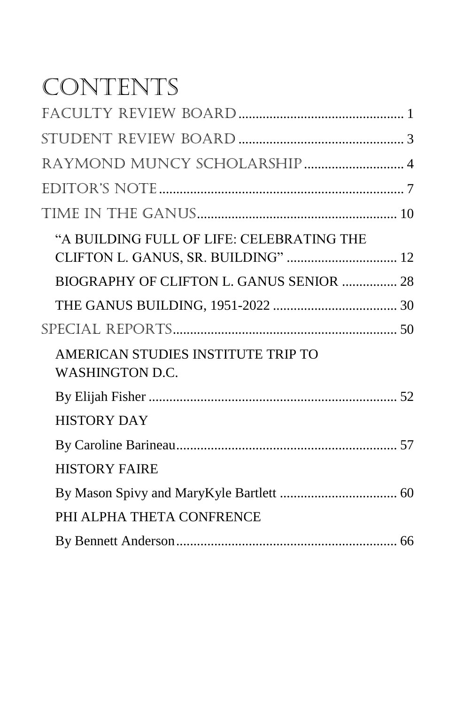## CONTENTS

| "A BUILDING FULL OF LIFE: CELEBRATING THE<br>CLIFTON L. GANUS, SR. BUILDING"  12 |  |
|----------------------------------------------------------------------------------|--|
| BIOGRAPHY OF CLIFTON L. GANUS SENIOR  28                                         |  |
|                                                                                  |  |
|                                                                                  |  |
| AMERICAN STUDIES INSTITUTE TRIP TO<br><b>WASHINGTON D.C.</b>                     |  |
|                                                                                  |  |
| <b>HISTORY DAY</b>                                                               |  |
|                                                                                  |  |
| <b>HISTORY FAIRE</b>                                                             |  |
|                                                                                  |  |
| PHI ALPHA THETA CONFRENCE                                                        |  |
|                                                                                  |  |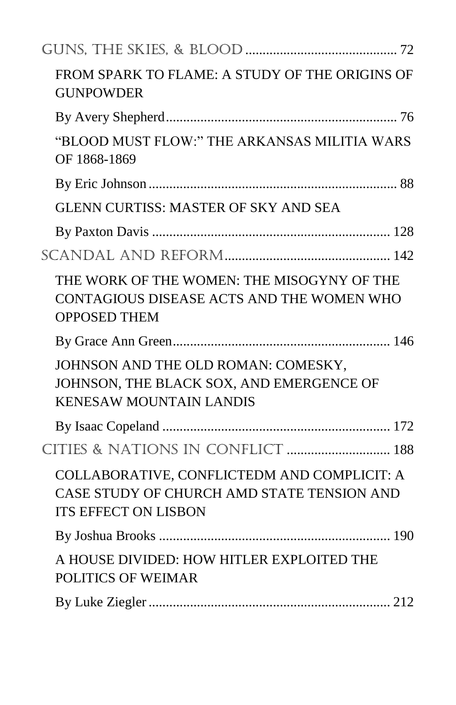| FROM SPARK TO FLAME: A STUDY OF THE ORIGINS OF<br><b>GUNPOWDER</b>                                                       |
|--------------------------------------------------------------------------------------------------------------------------|
|                                                                                                                          |
| "BLOOD MUST FLOW:" THE ARKANSAS MILITIA WARS<br>OF 1868-1869                                                             |
|                                                                                                                          |
| <b>GLENN CURTISS: MASTER OF SKY AND SEA</b>                                                                              |
|                                                                                                                          |
|                                                                                                                          |
| THE WORK OF THE WOMEN: THE MISOGYNY OF THE<br>CONTAGIOUS DISEASE ACTS AND THE WOMEN WHO<br><b>OPPOSED THEM</b>           |
|                                                                                                                          |
| JOHNSON AND THE OLD ROMAN: COMESKY,<br>JOHNSON, THE BLACK SOX, AND EMERGENCE OF<br><b>KENESAW MOUNTAIN LANDIS</b>        |
|                                                                                                                          |
| CITIES & NATIONS IN CONFLICT  188                                                                                        |
| COLLABORATIVE, CONFLICTEDM AND COMPLICIT: A<br>CASE STUDY OF CHURCH AMD STATE TENSION AND<br><b>ITS EFFECT ON LISBON</b> |
|                                                                                                                          |
| A HOUSE DIVIDED: HOW HITLER EXPLOITED THE<br><b>POLITICS OF WEIMAR</b>                                                   |
|                                                                                                                          |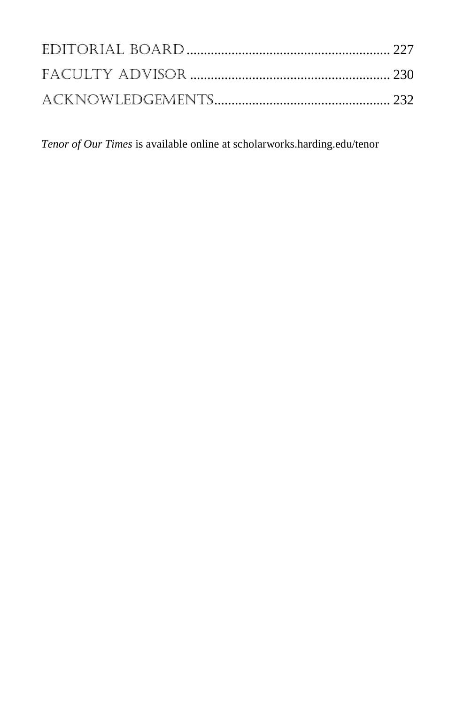*Tenor of Our Times* is available online at scholarworks.harding.edu/tenor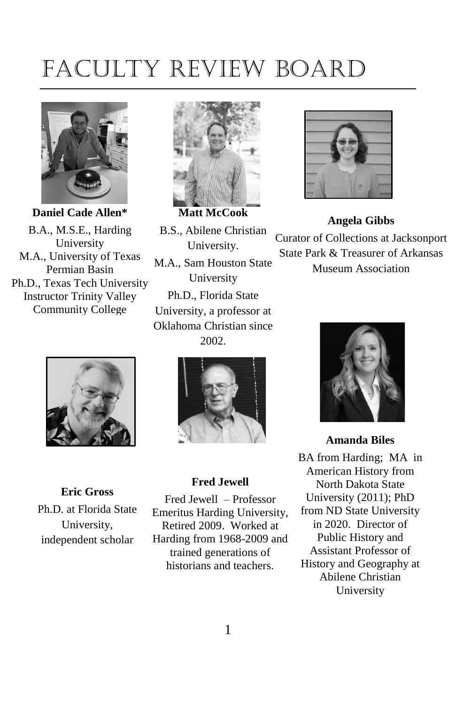## <span id="page-8-0"></span>Faculty Review Board



B.A., M.S.E., Harding University M.A., University of Texas Permian Basin Ph.D., Texas Tech University Instructor Trinity Valley Community College



**Eric Gross**

Ph.D. at Florida State University, independent scholar



B.S., Abilene Christian University. M.A., Sam Houston State University Ph.D., Florida State University, a professor at Oklahoma Christian since

2002.



#### **Fred Jewell**

Fred Jewell – Professor Emeritus Harding University, Retired 2009. Worked at Harding from 1968-2009 and trained generations of historians and teachers.



**Angela Gibbs** Curator of Collections at Jacksonport State Park & Treasurer of Arkansas Museum Association



#### **Amanda Biles**

BA from Harding; MA in American History from North Dakota State University (2011); PhD from ND State University in 2020. Director of Public History and Assistant Professor of History and Geography at Abilene Christian University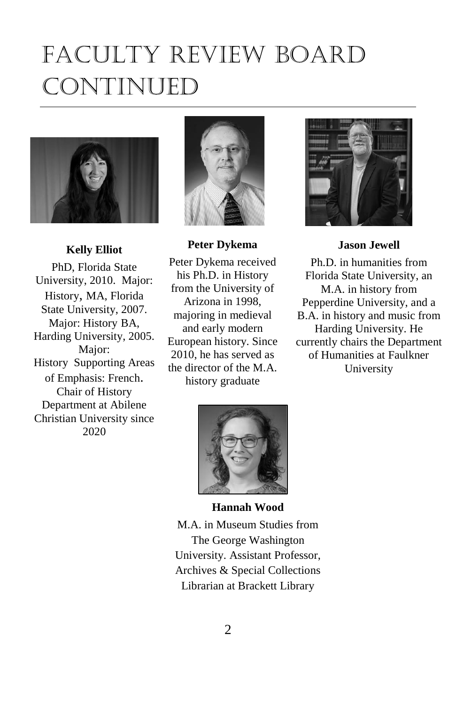## Faculty Review Board Continued



#### **Kelly Elliot**

PhD, Florida State University, 2010. Major: History, MA, Florida State University, 2007. Major: History BA, Harding University, 2005. Major: History Supporting Areas of Emphasis: French. Chair of History Department at Abilene Christian University since 2020



**Peter Dykema**

Peter Dykema received his Ph.D. in History from the University of Arizona in 1998, majoring in medieval and early modern European history. Since 2010, he has served as the director of the M.A. history graduate



#### **Jason Jewell**

Ph.D. in humanities from Florida State University, an M.A. in history from Pepperdine University, and a B.A. in history and music from Harding University. He currently chairs the Department of Humanities at Faulkner University



#### **Hannah Wood**

M.A. in Museum Studies from The George Washington University. Assistant Professor, Archives & Special Collections Librarian at Brackett Library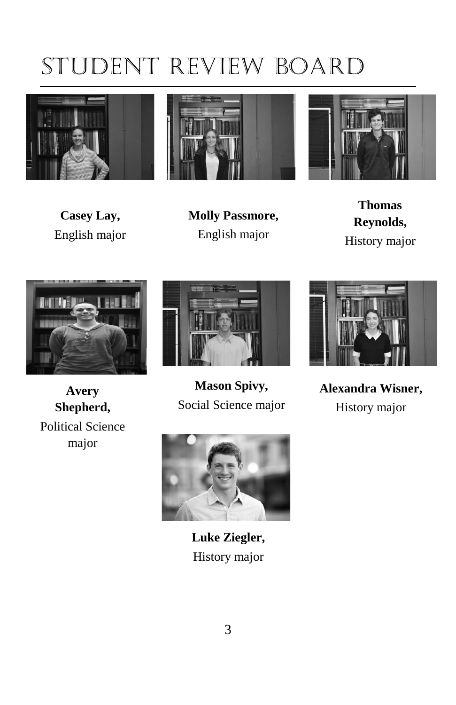## <span id="page-10-0"></span>Student Review Board







**Casey Lay,** English major

**Molly Passmore,** English major

**Thomas Reynolds,** History major



**Avery Shepherd,** Political Science major



**Mason Spivy,** Social Science major



**Alexandra Wisner,** History major



**Luke Ziegler,** History major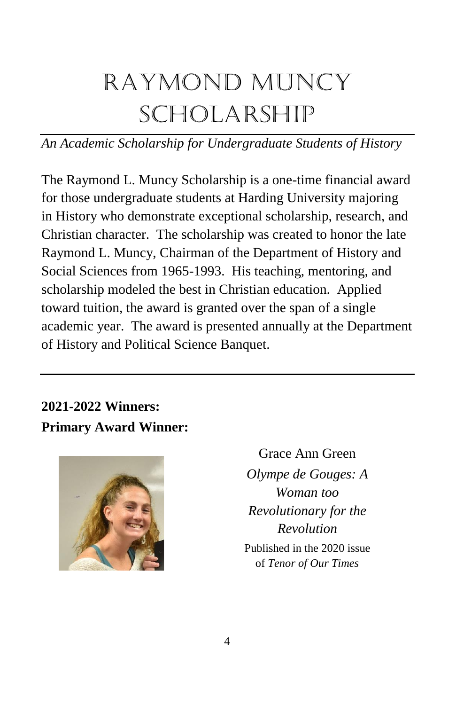## <span id="page-11-0"></span>Raymond Muncy Scholarship

## *An Academic Scholarship for Undergraduate Students of History*

The Raymond L. Muncy Scholarship is a one-time financial award for those undergraduate students at Harding University majoring in History who demonstrate exceptional scholarship, research, and Christian character. The scholarship was created to honor the late Raymond L. Muncy, Chairman of the Department of History and Social Sciences from 1965-1993. His teaching, mentoring, and scholarship modeled the best in Christian education. Applied toward tuition, the award is granted over the span of a single academic year. The award is presented annually at the Department of History and Political Science Banquet.

## **2021-2022 Winners: Primary Award Winner:**



Grace Ann Green *Olympe de Gouges: A Woman too Revolutionary for the Revolution* Published in the 2020 issue of *Tenor of Our Times*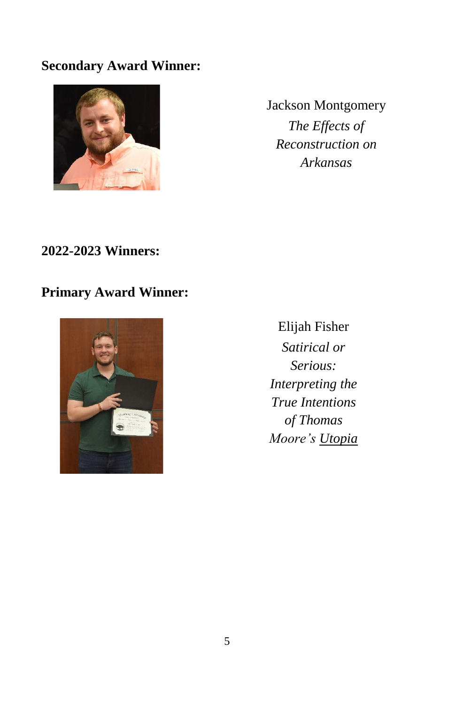### **Secondary Award Winner:**



Jackson Montgomery *The Effects of Reconstruction on Arkansas*

### **2022-2023 Winners:**

## **Primary Award Winner:**



Elijah Fisher *Satirical or Serious: Interpreting the True Intentions of Thomas Moore's Utopia*